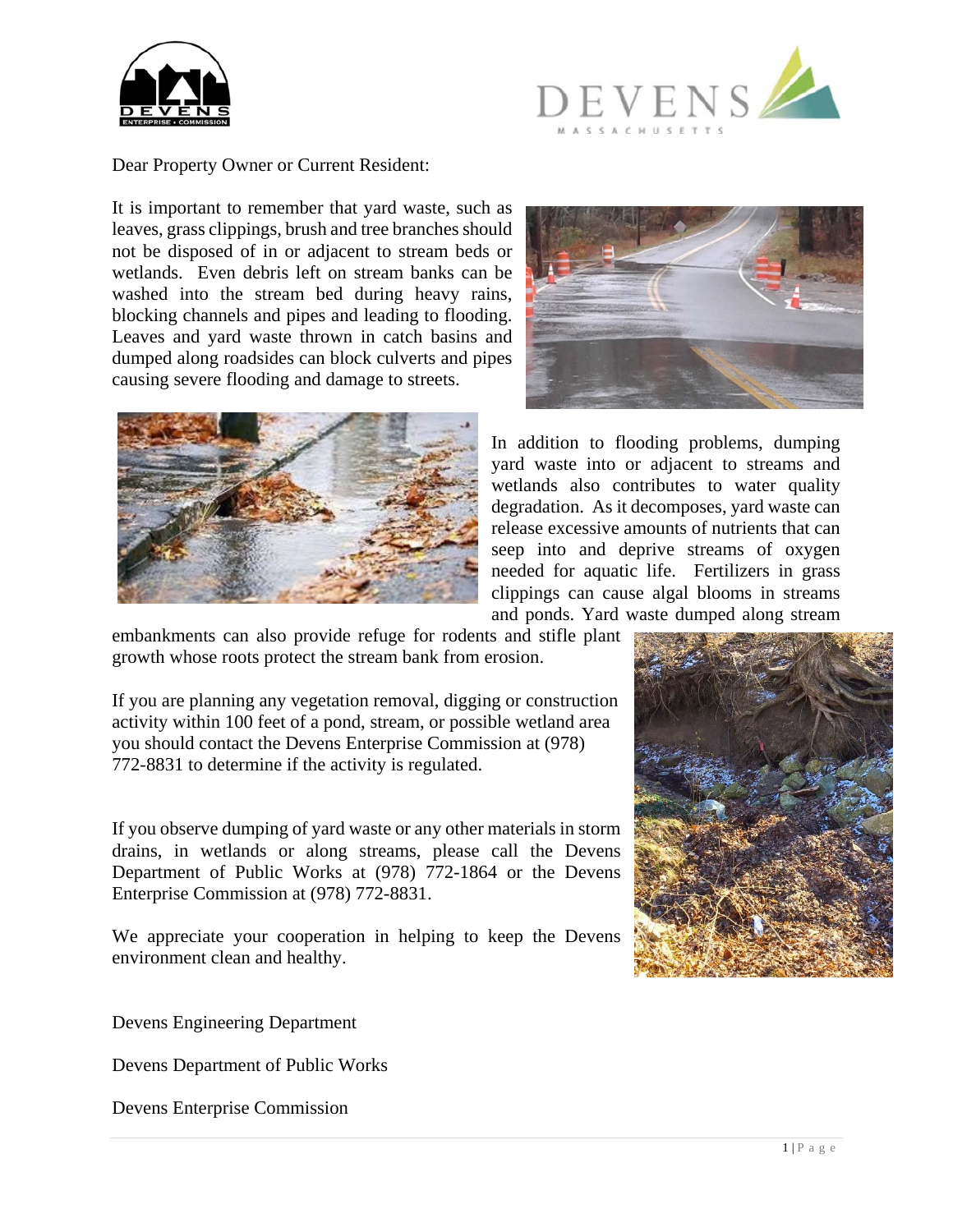



Dear Property Owner or Current Resident:

It is important to remember that yard waste, such as leaves, grass clippings, brush and tree branches should not be disposed of in or adjacent to stream beds or wetlands. Even debris left on stream banks can be washed into the stream bed during heavy rains, blocking channels and pipes and leading to flooding. Leaves and yard waste thrown in catch basins and dumped along roadsides can block culverts and pipes causing severe flooding and damage to streets.





In addition to flooding problems, dumping yard waste into or adjacent to streams and wetlands also contributes to water quality degradation. As it decomposes, yard waste can release excessive amounts of nutrients that can seep into and deprive streams of oxygen needed for aquatic life. Fertilizers in grass clippings can cause algal blooms in streams and ponds. Yard waste dumped along stream

embankments can also provide refuge for rodents and stifle plant growth whose roots protect the stream bank from erosion.

If you are planning any vegetation removal, digging or construction activity within 100 feet of a pond, stream, or possible wetland area you should contact the Devens Enterprise Commission at (978) 772-8831 to determine if the activity is regulated.

If you observe dumping of yard waste or any other materials in storm drains, in wetlands or along streams, please call the Devens Department of Public Works at (978) 772-1864 or the Devens Enterprise Commission at (978) 772-8831.

We appreciate your cooperation in helping to keep the Devens environment clean and healthy.

Devens Engineering Department

Devens Department of Public Works

Devens Enterprise Commission